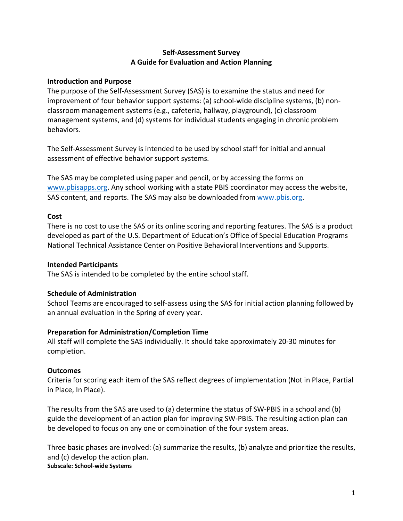# **Self-Assessment Survey A Guide for Evaluation and Action Planning**

#### **Introduction and Purpose**

The purpose of the Self-Assessment Survey (SAS) is to examine the status and need for improvement of four behavior support systems: (a) school-wide discipline systems, (b) nonclassroom management systems (e.g., cafeteria, hallway, playground), (c) classroom management systems, and (d) systems for individual students engaging in chronic problem behaviors.

The Self-Assessment Survey is intended to be used by school staff for initial and annual assessment of effective behavior support systems.

The SAS may be completed using paper and pencil, or by accessing the forms on www.pbisapps.org. Any school working with a state PBIS coordinator may access the website, SAS content, and reports. The SAS may also be downloaded from www.pbis.org.

#### **Cost**

There is no cost to use the SAS or its online scoring and reporting features. The SAS is a product developed as part of the U.S. Department of Education's Office of Special Education Programs National Technical Assistance Center on Positive Behavioral Interventions and Supports.

#### **Intended Participants**

The SAS is intended to be completed by the entire school staff.

# **Schedule of Administration**

School Teams are encouraged to self-assess using the SAS for initial action planning followed by an annual evaluation in the Spring of every year.

# **Preparation for Administration/Completion Time**

All staff will complete the SAS individually. It should take approximately 20-30 minutes for completion.

# **Outcomes**

Criteria for scoring each item of the SAS reflect degrees of implementation (Not in Place, Partial in Place, In Place).

The results from the SAS are used to (a) determine the status of SW-PBIS in a school and (b) guide the development of an action plan for improving SW-PBIS. The resulting action plan can be developed to focus on any one or combination of the four system areas.

Three basic phases are involved: (a) summarize the results, (b) analyze and prioritize the results, and (c) develop the action plan. **Subscale: School-wide Systems**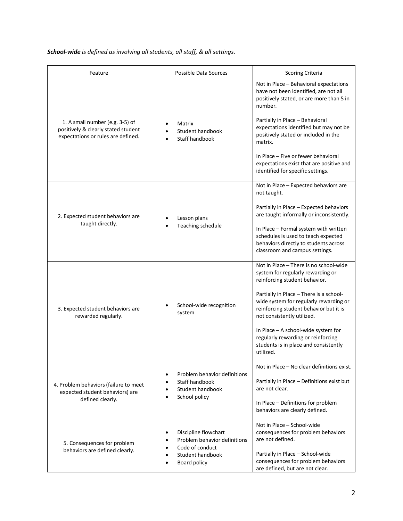*School-wide is defined as involving all students, all staff, & all settings.*

| Feature                                                                                                      | Possible Data Sources                                                                                                                                | <b>Scoring Criteria</b>                                                                                                                                                                                                                                                                                                                                                                                      |
|--------------------------------------------------------------------------------------------------------------|------------------------------------------------------------------------------------------------------------------------------------------------------|--------------------------------------------------------------------------------------------------------------------------------------------------------------------------------------------------------------------------------------------------------------------------------------------------------------------------------------------------------------------------------------------------------------|
| 1. A small number (e.g. 3-5) of<br>positively & clearly stated student<br>expectations or rules are defined. | Matrix<br>Student handbook<br>Staff handbook                                                                                                         | Not in Place - Behavioral expectations<br>have not been identified, are not all<br>positively stated, or are more than 5 in<br>number.<br>Partially in Place - Behavioral<br>expectations identified but may not be<br>positively stated or included in the<br>matrix.<br>In Place - Five or fewer behavioral<br>expectations exist that are positive and<br>identified for specific settings.               |
| 2. Expected student behaviors are<br>taught directly.                                                        | Lesson plans<br>Teaching schedule                                                                                                                    | Not in Place - Expected behaviors are<br>not taught.<br>Partially in Place - Expected behaviors<br>are taught informally or inconsistently.<br>In Place - Formal system with written<br>schedules is used to teach expected<br>behaviors directly to students across<br>classroom and campus settings.                                                                                                       |
| 3. Expected student behaviors are<br>rewarded regularly.                                                     | School-wide recognition<br>system                                                                                                                    | Not in Place - There is no school-wide<br>system for regularly rewarding or<br>reinforcing student behavior.<br>Partially in Place - There is a school-<br>wide system for regularly rewarding or<br>reinforcing student behavior but it is<br>not consistently utilized.<br>In Place - A school-wide system for<br>regularly rewarding or reinforcing<br>students is in place and consistently<br>utilized. |
| 4. Problem behaviors (failure to meet<br>expected student behaviors) are<br>defined clearly.                 | Problem behavior definitions<br>٠<br>Staff handbook<br>$\bullet$<br>Student handbook<br>$\bullet$<br>School policy<br>$\bullet$                      | Not in Place - No clear definitions exist.<br>Partially in Place - Definitions exist but<br>are not clear.<br>In Place - Definitions for problem<br>behaviors are clearly defined.                                                                                                                                                                                                                           |
| 5. Consequences for problem<br>behaviors are defined clearly.                                                | Discipline flowchart<br>٠<br>Problem behavior definitions<br>٠<br>Code of conduct<br>$\bullet$<br>Student handbook<br>$\bullet$<br>Board policy<br>٠ | Not in Place - School-wide<br>consequences for problem behaviors<br>are not defined.<br>Partially in Place - School-wide<br>consequences for problem behaviors<br>are defined, but are not clear.                                                                                                                                                                                                            |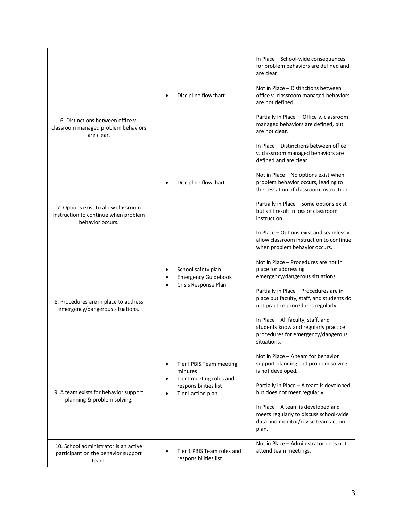|                                                                                                 |                                                                                         | In Place - School-wide consequences<br>for problem behaviors are defined and<br>are clear.                                      |
|-------------------------------------------------------------------------------------------------|-----------------------------------------------------------------------------------------|---------------------------------------------------------------------------------------------------------------------------------|
|                                                                                                 | Discipline flowchart                                                                    | Not in Place - Distinctions between<br>office v. classroom managed behaviors<br>are not defined.                                |
| 6. Distinctions between office v.<br>classroom managed problem behaviors<br>are clear.          |                                                                                         | Partially in Place - Office v. classroom<br>managed behaviors are defined, but<br>are not clear.                                |
|                                                                                                 |                                                                                         | In Place – Distinctions between office<br>v. classroom managed behaviors are<br>defined and are clear.                          |
|                                                                                                 | Discipline flowchart                                                                    | Not in Place - No options exist when<br>problem behavior occurs, leading to<br>the cessation of classroom instruction.          |
| 7. Options exist to allow classroom<br>instruction to continue when problem<br>behavior occurs. |                                                                                         | Partially in Place - Some options exist<br>but still result in loss of classroom<br>instruction.                                |
|                                                                                                 |                                                                                         | In Place - Options exist and seamlessly<br>allow classroom instruction to continue<br>when problem behavior occurs.             |
|                                                                                                 | School safety plan<br>٠<br><b>Emergency Guidebook</b><br>٠<br>Crisis Response Plan<br>٠ | Not in Place - Procedures are not in<br>place for addressing<br>emergency/dangerous situations.                                 |
| 8. Procedures are in place to address<br>emergency/dangerous situations.                        |                                                                                         | Partially in Place - Procedures are in<br>place but faculty, staff, and students do<br>not practice procedures regularly.       |
|                                                                                                 |                                                                                         | In Place - All faculty, staff, and<br>students know and regularly practice<br>procedures for emergency/dangerous<br>situations. |
|                                                                                                 | Tier I PBIS Team meeting<br>٠<br>minutes                                                | Not in Place - A team for behavior<br>support planning and problem solving<br>is not developed.                                 |
| 9. A team exists for behavior support<br>planning & problem solving.                            | Tier I meeting roles and<br>٠<br>responsibilities list<br>Tier I action plan            | Partially in Place - A team is developed<br>but does not meet regularly.                                                        |
|                                                                                                 |                                                                                         | In Place - A team is developed and<br>meets regularly to discuss school-wide<br>data and monitor/revise team action<br>plan.    |
| 10. School administrator is an active<br>participant on the behavior support<br>team.           | Tier 1 PBIS Team roles and<br>responsibilities list                                     | Not in Place - Administrator does not<br>attend team meetings.                                                                  |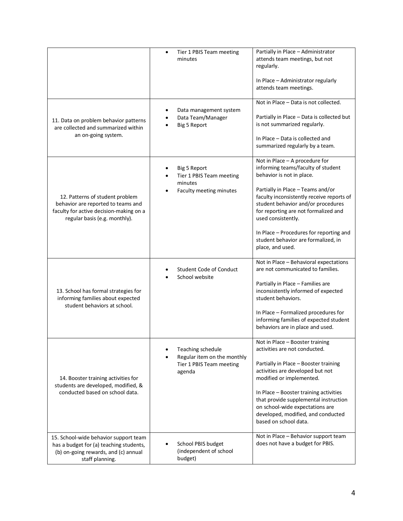|                                                                                                                                                   | Tier 1 PBIS Team meeting<br>٠<br>minutes                                                            | Partially in Place - Administrator<br>attends team meetings, but not<br>regularly.<br>In Place - Administrator regularly<br>attends team meetings.                                                                                                                                                                                                                                            |
|---------------------------------------------------------------------------------------------------------------------------------------------------|-----------------------------------------------------------------------------------------------------|-----------------------------------------------------------------------------------------------------------------------------------------------------------------------------------------------------------------------------------------------------------------------------------------------------------------------------------------------------------------------------------------------|
| 11. Data on problem behavior patterns<br>are collected and summarized within<br>an on-going system.                                               | Data management system<br>Data Team/Manager<br>Big 5 Report                                         | Not in Place - Data is not collected.<br>Partially in Place - Data is collected but<br>is not summarized regularly.<br>In Place - Data is collected and<br>summarized regularly by a team.                                                                                                                                                                                                    |
| 12. Patterns of student problem<br>behavior are reported to teams and<br>faculty for active decision-making on a<br>regular basis (e.g. monthly). | <b>Big 5 Report</b><br>٠<br>Tier 1 PBIS Team meeting<br>minutes<br>Faculty meeting minutes<br>٠     | Not in Place - A procedure for<br>informing teams/faculty of student<br>behavior is not in place.<br>Partially in Place - Teams and/or<br>faculty inconsistently receive reports of<br>student behavior and/or procedures<br>for reporting are not formalized and<br>used consistently.<br>In Place - Procedures for reporting and<br>student behavior are formalized, in<br>place, and used. |
| 13. School has formal strategies for<br>informing families about expected<br>student behaviors at school.                                         | <b>Student Code of Conduct</b><br>School website                                                    | Not in Place - Behavioral expectations<br>are not communicated to families.<br>Partially in Place - Families are<br>inconsistently informed of expected<br>student behaviors.<br>In Place - Formalized procedures for<br>informing families of expected student<br>behaviors are in place and used.                                                                                           |
| 14. Booster training activities for<br>students are developed, modified, &<br>conducted based on school data.                                     | Teaching schedule<br>Regular item on the monthly<br>$\bullet$<br>Tier 1 PBIS Team meeting<br>agenda | Not in Place - Booster training<br>activities are not conducted.<br>Partially in Place - Booster training<br>activities are developed but not<br>modified or implemented.<br>In Place - Booster training activities<br>that provide supplemental instruction<br>on school-wide expectations are<br>developed, modified, and conducted<br>based on school data.                                |
| 15. School-wide behavior support team<br>has a budget for (a) teaching students,<br>(b) on-going rewards, and (c) annual<br>staff planning.       | School PBIS budget<br>(independent of school<br>budget)                                             | Not in Place - Behavior support team<br>does not have a budget for PBIS.                                                                                                                                                                                                                                                                                                                      |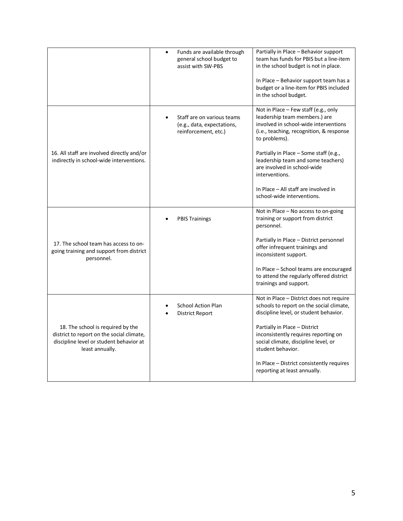|                                                                                                                                              | Funds are available through<br>general school budget to<br>assist with SW-PBS    | Partially in Place - Behavior support<br>team has funds for PBIS but a line-item<br>in the school budget is not in place.<br>In Place – Behavior support team has a<br>budget or a line-item for PBIS included<br>in the school budget.                                                                      |
|----------------------------------------------------------------------------------------------------------------------------------------------|----------------------------------------------------------------------------------|--------------------------------------------------------------------------------------------------------------------------------------------------------------------------------------------------------------------------------------------------------------------------------------------------------------|
| 16. All staff are involved directly and/or<br>indirectly in school-wide interventions.                                                       | Staff are on various teams<br>(e.g., data, expectations,<br>reinforcement, etc.) | Not in Place - Few staff (e.g., only<br>leadership team members.) are<br>involved in school-wide interventions<br>(i.e., teaching, recognition, & response<br>to problems).<br>Partially in Place - Some staff (e.g.,<br>leadership team and some teachers)<br>are involved in school-wide<br>interventions. |
|                                                                                                                                              |                                                                                  | In Place - All staff are involved in<br>school-wide interventions.                                                                                                                                                                                                                                           |
|                                                                                                                                              | <b>PBIS Trainings</b>                                                            | Not in Place - No access to on-going<br>training or support from district<br>personnel.                                                                                                                                                                                                                      |
| 17. The school team has access to on-<br>going training and support from district<br>personnel.                                              |                                                                                  | Partially in Place - District personnel<br>offer infrequent trainings and<br>inconsistent support.                                                                                                                                                                                                           |
|                                                                                                                                              |                                                                                  | In Place – School teams are encouraged<br>to attend the regularly offered district<br>trainings and support.                                                                                                                                                                                                 |
|                                                                                                                                              | <b>School Action Plan</b><br>District Report                                     | Not in Place - District does not require<br>schools to report on the social climate,<br>discipline level, or student behavior.                                                                                                                                                                               |
| 18. The school is required by the<br>district to report on the social climate,<br>discipline level or student behavior at<br>least annually. |                                                                                  | Partially in Place - District<br>inconsistently requires reporting on<br>social climate, discipline level, or<br>student behavior.                                                                                                                                                                           |
|                                                                                                                                              |                                                                                  | In Place – District consistently requires<br>reporting at least annually.                                                                                                                                                                                                                                    |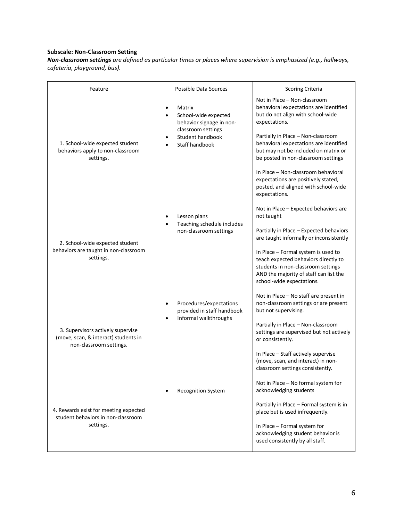#### **Subscale: Non-Classroom Setting**

*Non-classroom settings are defined as particular times or places where supervision is emphasized (e.g., hallways, cafeteria, playground, bus).*

| Feature                                                                                              | Possible Data Sources                                                                                                                                         | <b>Scoring Criteria</b>                                                                                                                                                                                                                                                                                                                                                                                                            |
|------------------------------------------------------------------------------------------------------|---------------------------------------------------------------------------------------------------------------------------------------------------------------|------------------------------------------------------------------------------------------------------------------------------------------------------------------------------------------------------------------------------------------------------------------------------------------------------------------------------------------------------------------------------------------------------------------------------------|
| 1. School-wide expected student<br>behaviors apply to non-classroom<br>settings.                     | Matrix<br>$\bullet$<br>School-wide expected<br>$\bullet$<br>behavior signage in non-<br>classroom settings<br>Student handbook<br>Staff handbook<br>$\bullet$ | Not in Place - Non-classroom<br>behavioral expectations are identified<br>but do not align with school-wide<br>expectations.<br>Partially in Place - Non-classroom<br>behavioral expectations are identified<br>but may not be included on matrix or<br>be posted in non-classroom settings<br>In Place - Non-classroom behavioral<br>expectations are positively stated,<br>posted, and aligned with school-wide<br>expectations. |
| 2. School-wide expected student<br>behaviors are taught in non-classroom<br>settings.                | Lesson plans<br>Teaching schedule includes<br>$\bullet$<br>non-classroom settings                                                                             | Not in Place - Expected behaviors are<br>not taught<br>Partially in Place - Expected behaviors<br>are taught informally or inconsistently<br>In Place - Formal system is used to<br>teach expected behaviors directly to<br>students in non-classroom settings<br>AND the majority of staff can list the<br>school-wide expectations.                                                                                              |
| 3. Supervisors actively supervise<br>(move, scan, & interact) students in<br>non-classroom settings. | Procedures/expectations<br>provided in staff handbook<br>Informal walkthroughs<br>٠                                                                           | Not in Place - No staff are present in<br>non-classroom settings or are present<br>but not supervising.<br>Partially in Place - Non-classroom<br>settings are supervised but not actively<br>or consistently.<br>In Place - Staff actively supervise<br>(move, scan, and interact) in non-<br>classroom settings consistently.                                                                                                     |
| 4. Rewards exist for meeting expected<br>student behaviors in non-classroom<br>settings.             | <b>Recognition System</b>                                                                                                                                     | Not in Place - No formal system for<br>acknowledging students<br>Partially in Place - Formal system is in<br>place but is used infrequently.<br>In Place - Formal system for<br>acknowledging student behavior is<br>used consistently by all staff.                                                                                                                                                                               |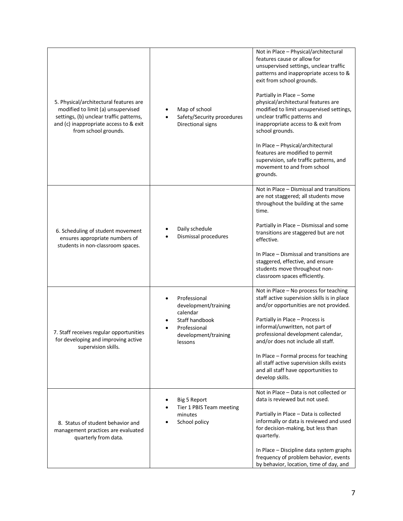| 5. Physical/architectural features are<br>modified to limit (a) unsupervised<br>settings, (b) unclear traffic patterns,<br>and (c) inappropriate access to & exit<br>from school grounds. | Map of school<br>Safety/Security procedures<br>Directional signs                                                      | Not in Place - Physical/architectural<br>features cause or allow for<br>unsupervised settings, unclear traffic<br>patterns and inappropriate access to &<br>exit from school grounds.<br>Partially in Place - Some<br>physical/architectural features are<br>modified to limit unsupervised settings,<br>unclear traffic patterns and<br>inappropriate access to & exit from<br>school grounds.<br>In Place - Physical/architectural<br>features are modified to permit<br>supervision, safe traffic patterns, and<br>movement to and from school<br>grounds. |
|-------------------------------------------------------------------------------------------------------------------------------------------------------------------------------------------|-----------------------------------------------------------------------------------------------------------------------|---------------------------------------------------------------------------------------------------------------------------------------------------------------------------------------------------------------------------------------------------------------------------------------------------------------------------------------------------------------------------------------------------------------------------------------------------------------------------------------------------------------------------------------------------------------|
| 6. Scheduling of student movement<br>ensures appropriate numbers of<br>students in non-classroom spaces.                                                                                  | Daily schedule<br>Dismissal procedures                                                                                | Not in Place - Dismissal and transitions<br>are not staggered; all students move<br>throughout the building at the same<br>time.<br>Partially in Place - Dismissal and some<br>transitions are staggered but are not<br>effective.<br>In Place - Dismissal and transitions are<br>staggered, effective, and ensure<br>students move throughout non-<br>classroom spaces efficiently.                                                                                                                                                                          |
| 7. Staff receives regular opportunities<br>for developing and improving active<br>supervision skills.                                                                                     | Professional<br>development/training<br>calendar<br>Staff handbook<br>Professional<br>development/training<br>lessons | Not in Place - No process for teaching<br>staff active supervision skills is in place<br>and/or opportunities are not provided.<br>Partially in Place - Process is<br>informal/unwritten, not part of<br>professional development calendar,<br>and/or does not include all staff.<br>In Place - Formal process for teaching<br>all staff active supervision skills exists<br>and all staff have opportunities to<br>develop skills.                                                                                                                           |
| 8. Status of student behavior and<br>management practices are evaluated<br>quarterly from data.                                                                                           | <b>Big 5 Report</b><br>Tier 1 PBIS Team meeting<br>minutes<br>School policy                                           | Not in Place - Data is not collected or<br>data is reviewed but not used.<br>Partially in Place - Data is collected<br>informally or data is reviewed and used<br>for decision-making, but less than<br>quarterly.<br>In Place - Discipline data system graphs<br>frequency of problem behavior, events<br>by behavior, location, time of day, and                                                                                                                                                                                                            |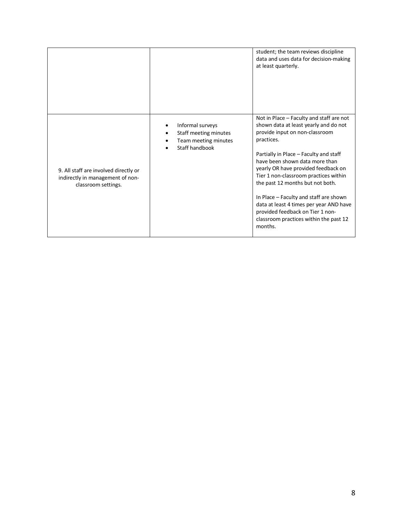|                                                                                                  |                                                                                          | student; the team reviews discipline<br>data and uses data for decision-making<br>at least quarterly.                                                                                                                                                                                                                                                                                                                                                                                                           |
|--------------------------------------------------------------------------------------------------|------------------------------------------------------------------------------------------|-----------------------------------------------------------------------------------------------------------------------------------------------------------------------------------------------------------------------------------------------------------------------------------------------------------------------------------------------------------------------------------------------------------------------------------------------------------------------------------------------------------------|
| 9. All staff are involved directly or<br>indirectly in management of non-<br>classroom settings. | Informal surveys<br>Staff meeting minutes<br>٠<br>Team meeting minutes<br>Staff handbook | Not in Place - Faculty and staff are not<br>shown data at least yearly and do not<br>provide input on non-classroom<br>practices.<br>Partially in Place - Faculty and staff<br>have been shown data more than<br>yearly OR have provided feedback on<br>Tier 1 non-classroom practices within<br>the past 12 months but not both.<br>In Place - Faculty and staff are shown<br>data at least 4 times per year AND have<br>provided feedback on Tier 1 non-<br>classroom practices within the past 12<br>months. |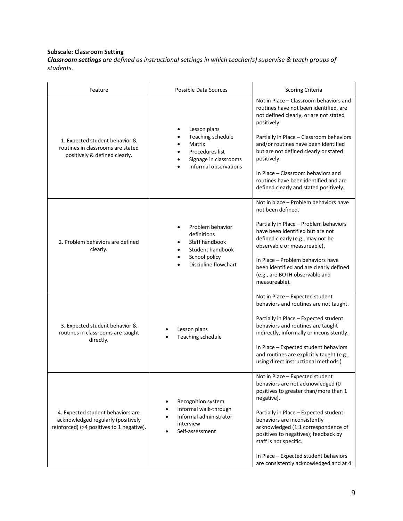# **Subscale: Classroom Setting**

*Classroom settings are defined as instructional settings in which teacher(s) supervise & teach groups of students.*

| Feature                                                                                                              | Possible Data Sources                                                                                                                        | <b>Scoring Criteria</b>                                                                                                                                                                                                                                                                                                                                                                                        |
|----------------------------------------------------------------------------------------------------------------------|----------------------------------------------------------------------------------------------------------------------------------------------|----------------------------------------------------------------------------------------------------------------------------------------------------------------------------------------------------------------------------------------------------------------------------------------------------------------------------------------------------------------------------------------------------------------|
| 1. Expected student behavior &<br>routines in classrooms are stated<br>positively & defined clearly.                 | Lesson plans<br>Teaching schedule<br>Matrix<br>Procedures list<br>Signage in classrooms<br>Informal observations                             | Not in Place - Classroom behaviors and<br>routines have not been identified, are<br>not defined clearly, or are not stated<br>positively.<br>Partially in Place - Classroom behaviors<br>and/or routines have been identified<br>but are not defined clearly or stated<br>positively.<br>In Place – Classroom behaviors and<br>routines have been identified and are<br>defined clearly and stated positively. |
| 2. Problem behaviors are defined<br>clearly.                                                                         | Problem behavior<br>definitions<br>Staff handbook<br>$\bullet$<br>Student handbook<br>School policy<br>Discipline flowchart                  | Not in place - Problem behaviors have<br>not been defined.<br>Partially in Place - Problem behaviors<br>have been identified but are not<br>defined clearly (e.g., may not be<br>observable or measureable).<br>In Place - Problem behaviors have<br>been identified and are clearly defined<br>(e.g., are BOTH observable and<br>measureable).                                                                |
| 3. Expected student behavior &<br>routines in classrooms are taught<br>directly.                                     | Lesson plans<br>Teaching schedule                                                                                                            | Not in Place - Expected student<br>behaviors and routines are not taught.<br>Partially in Place - Expected student<br>behaviors and routines are taught<br>indirectly, informally or inconsistently.<br>In Place - Expected student behaviors<br>and routines are explicitly taught (e.g.,<br>using direct instructional methods.)                                                                             |
| 4. Expected student behaviors are<br>acknowledged regularly (positively<br>reinforced) (>4 positives to 1 negative). | Recognition system<br>$\bullet$<br>Informal walk-through<br>$\bullet$<br>Informal administrator<br>$\bullet$<br>interview<br>Self-assessment | Not in Place - Expected student<br>behaviors are not acknowledged (0<br>positives to greater than/more than 1<br>negative).<br>Partially in Place - Expected student<br>behaviors are inconsistently<br>acknowledged (1:1 correspondence of<br>positives to negatives); feedback by<br>staff is not specific.<br>In Place - Expected student behaviors<br>are consistently acknowledged and at 4               |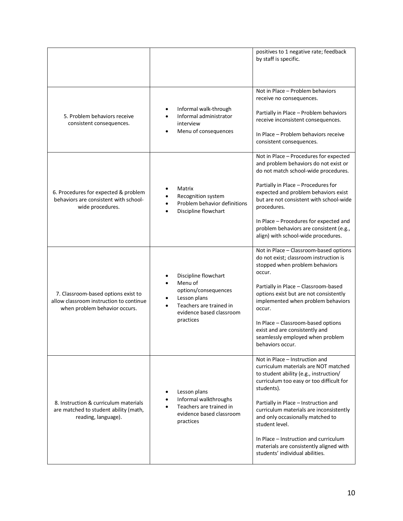|                                                                                                                 |                                                                                                                                             | positives to 1 negative rate; feedback<br>by staff is specific.                                                                                                                                                                                                                                                                                                                                                                            |
|-----------------------------------------------------------------------------------------------------------------|---------------------------------------------------------------------------------------------------------------------------------------------|--------------------------------------------------------------------------------------------------------------------------------------------------------------------------------------------------------------------------------------------------------------------------------------------------------------------------------------------------------------------------------------------------------------------------------------------|
| 5. Problem behaviors receive<br>consistent consequences.                                                        | Informal walk-through<br>Informal administrator<br>interview<br>Menu of consequences                                                        | Not in Place - Problem behaviors<br>receive no consequences.<br>Partially in Place - Problem behaviors<br>receive inconsistent consequences.<br>In Place - Problem behaviors receive<br>consistent consequences.                                                                                                                                                                                                                           |
| 6. Procedures for expected & problem<br>behaviors are consistent with school-<br>wide procedures.               | Matrix<br>Recognition system<br>Problem behavior definitions<br>Discipline flowchart                                                        | Not in Place - Procedures for expected<br>and problem behaviors do not exist or<br>do not match school-wide procedures.<br>Partially in Place - Procedures for<br>expected and problem behaviors exist<br>but are not consistent with school-wide<br>procedures.<br>In Place - Procedures for expected and<br>problem behaviors are consistent (e.g.,<br>align) with school-wide procedures.                                               |
| 7. Classroom-based options exist to<br>allow classroom instruction to continue<br>when problem behavior occurs. | Discipline flowchart<br>Menu of<br>options/consequences<br>Lesson plans<br>Teachers are trained in<br>evidence based classroom<br>practices | Not in Place - Classroom-based options<br>do not exist; classroom instruction is<br>stopped when problem behaviors<br>occur.<br>Partially in Place - Classroom-based<br>options exist but are not consistently<br>implemented when problem behaviors<br>occur.<br>In Place - Classroom-based options<br>exist and are consistently and<br>seamlessly employed when problem<br>behaviors occur.                                             |
| 8. Instruction & curriculum materials<br>are matched to student ability (math,<br>reading, language).           | Lesson plans<br>٠<br>Informal walkthroughs<br>٠<br>Teachers are trained in<br>٠<br>evidence based classroom<br>practices                    | Not in Place - Instruction and<br>curriculum materials are NOT matched<br>to student ability (e.g., instruction/<br>curriculum too easy or too difficult for<br>students).<br>Partially in Place - Instruction and<br>curriculum materials are inconsistently<br>and only occasionally matched to<br>student level.<br>In Place – Instruction and curriculum<br>materials are consistently aligned with<br>students' individual abilities. |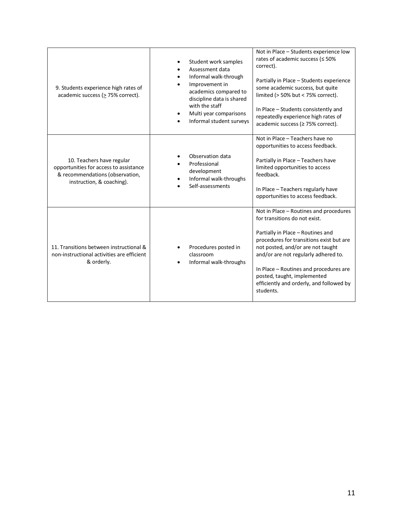| 9. Students experience high rates of<br>academic success ( $\geq$ 75% correct).                                                     | Student work samples<br>Assessment data<br>Informal walk-through<br>Improvement in<br>academics compared to<br>discipline data is shared<br>with the staff<br>Multi year comparisons<br>Informal student surveys | Not in Place - Students experience low<br>rates of academic success (≤ 50%<br>correct).<br>Partially in Place - Students experience<br>some academic success, but quite<br>limited (> 50% but < 75% correct).<br>In Place - Students consistently and<br>repeatedly experience high rates of<br>academic success (≥ 75% correct).                                       |
|-------------------------------------------------------------------------------------------------------------------------------------|------------------------------------------------------------------------------------------------------------------------------------------------------------------------------------------------------------------|-------------------------------------------------------------------------------------------------------------------------------------------------------------------------------------------------------------------------------------------------------------------------------------------------------------------------------------------------------------------------|
| 10. Teachers have regular<br>opportunities for access to assistance<br>& recommendations (observation,<br>instruction, & coaching). | Observation data<br>Professional<br>development<br>Informal walk-throughs<br>Self-assessments                                                                                                                    | Not in Place - Teachers have no<br>opportunities to access feedback.<br>Partially in Place - Teachers have<br>limited opportunities to access<br>feedback.<br>In Place - Teachers regularly have<br>opportunities to access feedback.                                                                                                                                   |
| 11. Transitions between instructional &<br>non-instructional activities are efficient<br>& orderly.                                 | Procedures posted in<br>classroom<br>Informal walk-throughs                                                                                                                                                      | Not in Place - Routines and procedures<br>for transitions do not exist.<br>Partially in Place - Routines and<br>procedures for transitions exist but are<br>not posted, and/or are not taught<br>and/or are not regularly adhered to.<br>In Place - Routines and procedures are<br>posted, taught, implemented<br>efficiently and orderly, and followed by<br>students. |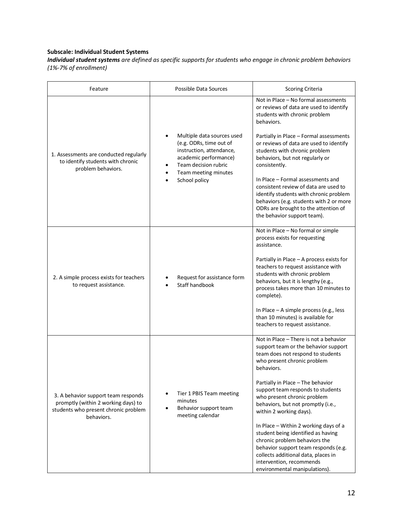# **Subscale: Individual Student Systems**

*Individual student systems are defined as specific supports for students who engage in chronic problem behaviors (1%-7% of enrollment)*

| Feature                                                                                                                          | Possible Data Sources                                                                                                                                                       | <b>Scoring Criteria</b>                                                                                                                                                                                                                                                                                                                                                                                                                                                                                                                                                                                |
|----------------------------------------------------------------------------------------------------------------------------------|-----------------------------------------------------------------------------------------------------------------------------------------------------------------------------|--------------------------------------------------------------------------------------------------------------------------------------------------------------------------------------------------------------------------------------------------------------------------------------------------------------------------------------------------------------------------------------------------------------------------------------------------------------------------------------------------------------------------------------------------------------------------------------------------------|
| 1. Assessments are conducted regularly<br>to identify students with chronic<br>problem behaviors.                                | Multiple data sources used<br>(e.g. ODRs, time out of<br>instruction, attendance,<br>academic performance)<br>Team decision rubric<br>Team meeting minutes<br>School policy | Not in Place - No formal assessments<br>or reviews of data are used to identify<br>students with chronic problem<br>hehaviors.<br>Partially in Place - Formal assessments<br>or reviews of data are used to identify<br>students with chronic problem<br>behaviors, but not regularly or<br>consistently.<br>In Place - Formal assessments and<br>consistent review of data are used to<br>identify students with chronic problem<br>behaviors (e.g. students with 2 or more<br>ODRs are brought to the attention of<br>the behavior support team).                                                    |
| 2. A simple process exists for teachers<br>to request assistance.                                                                | Request for assistance form<br>Staff handbook                                                                                                                               | Not in Place - No formal or simple<br>process exists for requesting<br>assistance.<br>Partially in Place - A process exists for<br>teachers to request assistance with<br>students with chronic problem<br>behaviors, but it is lengthy (e.g.,<br>process takes more than 10 minutes to<br>complete).<br>In Place - A simple process (e.g., less<br>than 10 minutes) is available for<br>teachers to request assistance.                                                                                                                                                                               |
| 3. A behavior support team responds<br>promptly (within 2 working days) to<br>students who present chronic problem<br>hehaviors. | Tier 1 PBIS Team meeting<br>minutes<br>Behavior support team<br>meeting calendar                                                                                            | Not in Place – There is not a behavior<br>support team or the behavior support<br>team does not respond to students<br>who present chronic problem<br>behaviors.<br>Partially in Place - The behavior<br>support team responds to students<br>who present chronic problem<br>behaviors, but not promptly (i.e.,<br>within 2 working days).<br>In Place - Within 2 working days of a<br>student being identified as having<br>chronic problem behaviors the<br>behavior support team responds (e.g.<br>collects additional data, places in<br>intervention, recommends<br>environmental manipulations). |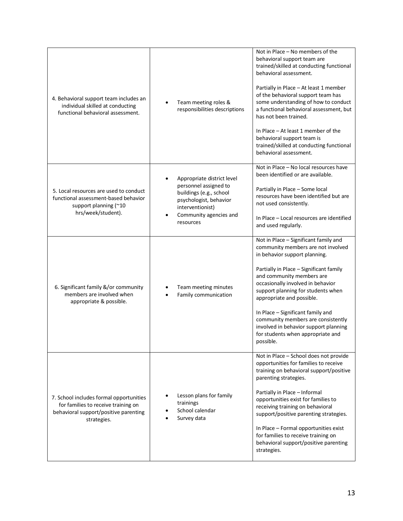| 4. Behavioral support team includes an<br>individual skilled at conducting<br>functional behavioral assessment.                        | Team meeting roles &<br>responsibilities descriptions                                                                                                               | Not in Place - No members of the<br>behavioral support team are<br>trained/skilled at conducting functional<br>behavioral assessment.<br>Partially in Place - At least 1 member<br>of the behavioral support team has<br>some understanding of how to conduct<br>a functional behavioral assessment, but<br>has not been trained.<br>In Place $-$ At least 1 member of the<br>behavioral support team is<br>trained/skilled at conducting functional<br>behavioral assessment. |
|----------------------------------------------------------------------------------------------------------------------------------------|---------------------------------------------------------------------------------------------------------------------------------------------------------------------|--------------------------------------------------------------------------------------------------------------------------------------------------------------------------------------------------------------------------------------------------------------------------------------------------------------------------------------------------------------------------------------------------------------------------------------------------------------------------------|
| 5. Local resources are used to conduct<br>functional assessment-based behavior<br>support planning (~10<br>hrs/week/student).          | Appropriate district level<br>personnel assigned to<br>buildings (e.g., school<br>psychologist, behavior<br>interventionist)<br>Community agencies and<br>resources | Not in Place - No local resources have<br>been identified or are available.<br>Partially in Place - Some local<br>resources have been identified but are<br>not used consistently.<br>In Place - Local resources are identified<br>and used regularly.                                                                                                                                                                                                                         |
| 6. Significant family &/or community<br>members are involved when<br>appropriate & possible.                                           | Team meeting minutes<br>Family communication                                                                                                                        | Not in Place - Significant family and<br>community members are not involved<br>in behavior support planning.<br>Partially in Place - Significant family<br>and community members are<br>occasionally involved in behavior<br>support planning for students when<br>appropriate and possible.<br>In Place - Significant family and<br>community members are consistently<br>involved in behavior support planning<br>for students when appropriate and<br>possible.             |
| 7. School includes formal opportunities<br>for families to receive training on<br>behavioral support/positive parenting<br>strategies. | Lesson plans for family<br>trainings<br>School calendar<br>Survey data                                                                                              | Not in Place - School does not provide<br>opportunities for families to receive<br>training on behavioral support/positive<br>parenting strategies.<br>Partially in Place - Informal<br>opportunities exist for families to<br>receiving training on behavioral<br>support/positive parenting strategies.<br>In Place - Formal opportunities exist<br>for families to receive training on<br>behavioral support/positive parenting<br>strategies.                              |